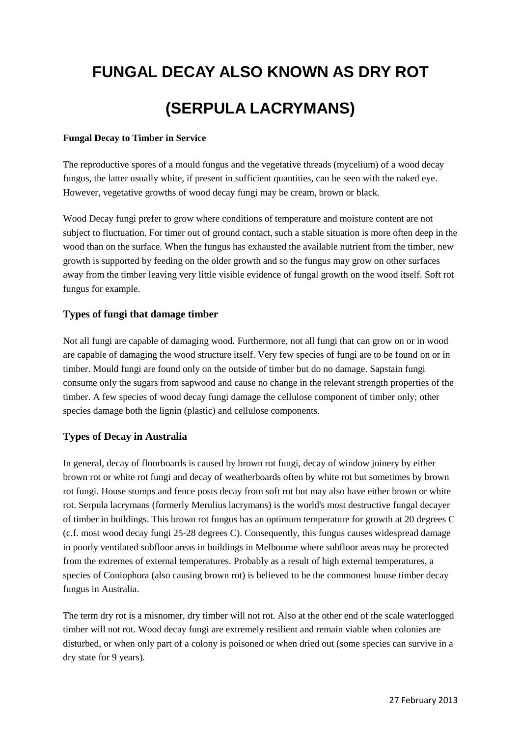# **FUNGAL DECAY ALSO KNOWN AS DRY ROT (SERPULA LACRYMANS)**

### **Fungal Decay to Timber in Service**

The reproductive spores of a mould fungus and the vegetative threads (mycelium) of a wood decay fungus, the latter usually white, if present in sufficient quantities, can be seen with the naked eye. However, vegetative growths of wood decay fungi may be cream, brown or black.

Wood Decay fungi prefer to grow where conditions of temperature and moisture content are not subject to fluctuation. For timer out of ground contact, such a stable situation is more often deep in the wood than on the surface. When the fungus has exhausted the available nutrient from the timber, new growth is supported by feeding on the older growth and so the fungus may grow on other surfaces away from the timber leaving very little visible evidence of fungal growth on the wood itself. Soft rot fungus for example.

## **Types of fungi that damage timber**

Not all fungi are capable of damaging wood. Furthermore, not all fungi that can grow on or in wood are capable of damaging the wood structure itself. Very few species of fungi are to be found on or in timber. Mould fungi are found only on the outside of timber but do no damage. Sapstain fungi consume only the sugars from sapwood and cause no change in the relevant strength properties of the timber. A few species of wood decay fungi damage the cellulose component of timber only; other species damage both the lignin (plastic) and cellulose components.

## **Types of Decay in Australia**

In general, decay of floorboards is caused by brown rot fungi, decay of window joinery by either brown rot or white rot fungi and decay of weatherboards often by white rot but sometimes by brown rot fungi. House stumps and fence posts decay from soft rot but may also have either brown or white rot. Serpula lacrymans (formerly Merulius lacrymans) is the world's most destructive fungal decayer of timber in buildings. This brown rot fungus has an optimum temperature for growth at 20 degrees C (c.f. most wood decay fungi 25-28 degrees C). Consequently, this fungus causes widespread damage in poorly ventilated subfloor areas in buildings in Melbourne where subfloor areas may be protected from the extremes of external temperatures. Probably as a result of high external temperatures, a species of Coniophora (also causing brown rot) is believed to be the commonest house timber decay fungus in Australia.

The term dry rot is a misnomer, dry timber will not rot. Also at the other end of the scale waterlogged timber will not rot. Wood decay fungi are extremely resilient and remain viable when colonies are disturbed, or when only part of a colony is poisoned or when dried out (some species can survive in a dry state for 9 years).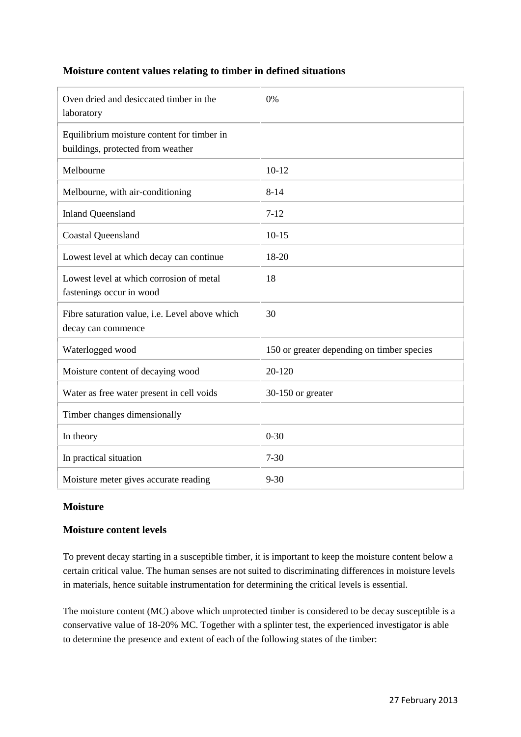## **Moisture content values relating to timber in defined situations**

| Oven dried and desiccated timber in the<br>laboratory                           | 0%                                         |
|---------------------------------------------------------------------------------|--------------------------------------------|
| Equilibrium moisture content for timber in<br>buildings, protected from weather |                                            |
| Melbourne                                                                       | $10-12$                                    |
| Melbourne, with air-conditioning                                                | $8 - 14$                                   |
| <b>Inland Queensland</b>                                                        | $7 - 12$                                   |
| <b>Coastal Queensland</b>                                                       | $10-15$                                    |
| Lowest level at which decay can continue                                        | 18-20                                      |
| Lowest level at which corrosion of metal<br>fastenings occur in wood            | 18                                         |
| Fibre saturation value, i.e. Level above which<br>decay can commence            | 30                                         |
| Waterlogged wood                                                                | 150 or greater depending on timber species |
| Moisture content of decaying wood                                               | 20-120                                     |
| Water as free water present in cell voids                                       | 30-150 or greater                          |
| Timber changes dimensionally                                                    |                                            |
| In theory                                                                       | $0 - 30$                                   |
| In practical situation                                                          | $7 - 30$                                   |
| Moisture meter gives accurate reading                                           | $9 - 30$                                   |

## **Moisture**

# **Moisture content levels**

To prevent decay starting in a susceptible timber, it is important to keep the moisture content below a certain critical value. The human senses are not suited to discriminating differences in moisture levels in materials, hence suitable instrumentation for determining the critical levels is essential.

The moisture content (MC) above which unprotected timber is considered to be decay susceptible is a conservative value of 18-20% MC. Together with a splinter test, the experienced investigator is able to determine the presence and extent of each of the following states of the timber: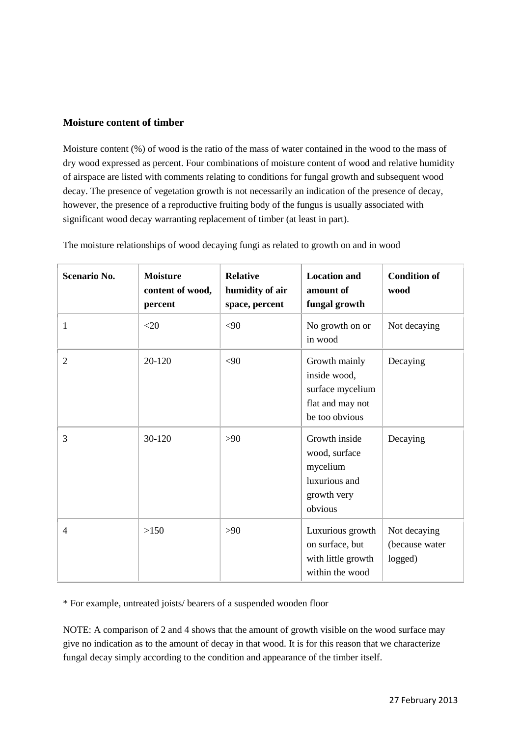## **Moisture content of timber**

Moisture content (%) of wood is the ratio of the mass of water contained in the wood to the mass of dry wood expressed as percent. Four combinations of moisture content of wood and relative humidity of airspace are listed with comments relating to conditions for fungal growth and subsequent wood decay. The presence of vegetation growth is not necessarily an indication of the presence of decay, however, the presence of a reproductive fruiting body of the fungus is usually associated with significant wood decay warranting replacement of timber (at least in part).

| Scenario No.   | <b>Moisture</b><br>content of wood,<br>percent | <b>Relative</b><br>humidity of air<br>space, percent | <b>Location and</b><br>amount of<br>fungal growth                                       | <b>Condition of</b><br>wood               |
|----------------|------------------------------------------------|------------------------------------------------------|-----------------------------------------------------------------------------------------|-------------------------------------------|
| 1              | <20                                            | <90                                                  | No growth on or<br>in wood                                                              | Not decaying                              |
| $\overline{2}$ | 20-120                                         | <90                                                  | Growth mainly<br>inside wood,<br>surface mycelium<br>flat and may not<br>be too obvious | Decaying                                  |
| 3              | 30-120                                         | >90                                                  | Growth inside<br>wood, surface<br>mycelium<br>luxurious and<br>growth very<br>obvious   | Decaying                                  |
| $\overline{4}$ | >150                                           | >90                                                  | Luxurious growth<br>on surface, but<br>with little growth<br>within the wood            | Not decaying<br>(because water<br>logged) |

The moisture relationships of wood decaying fungi as related to growth on and in wood

\* For example, untreated joists/ bearers of a suspended wooden floor

NOTE: A comparison of 2 and 4 shows that the amount of growth visible on the wood surface may give no indication as to the amount of decay in that wood. It is for this reason that we characterize fungal decay simply according to the condition and appearance of the timber itself.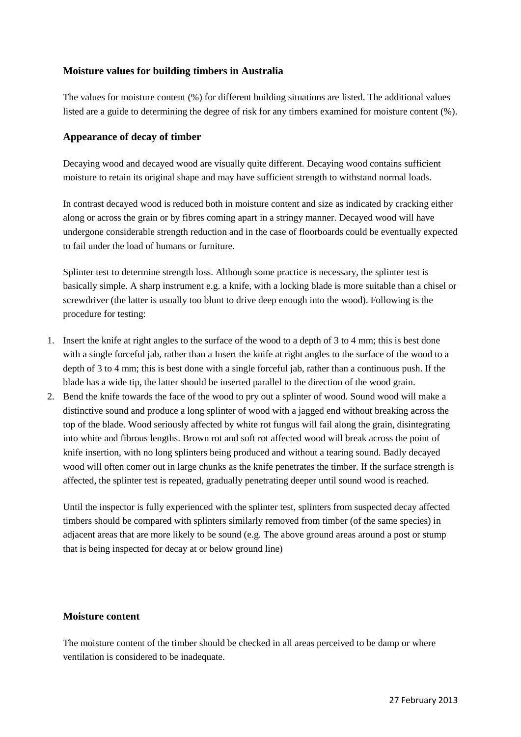## **Moisture values for building timbers in Australia**

The values for moisture content (%) for different building situations are listed. The additional values listed are a guide to determining the degree of risk for any timbers examined for moisture content (%).

## **Appearance of decay of timber**

Decaying wood and decayed wood are visually quite different. Decaying wood contains sufficient moisture to retain its original shape and may have sufficient strength to withstand normal loads.

In contrast decayed wood is reduced both in moisture content and size as indicated by cracking either along or across the grain or by fibres coming apart in a stringy manner. Decayed wood will have undergone considerable strength reduction and in the case of floorboards could be eventually expected to fail under the load of humans or furniture.

Splinter test to determine strength loss. Although some practice is necessary, the splinter test is basically simple. A sharp instrument e.g. a knife, with a locking blade is more suitable than a chisel or screwdriver (the latter is usually too blunt to drive deep enough into the wood). Following is the procedure for testing:

- 1. Insert the knife at right angles to the surface of the wood to a depth of 3 to 4 mm; this is best done with a single forceful jab, rather than a Insert the knife at right angles to the surface of the wood to a depth of 3 to 4 mm; this is best done with a single forceful jab, rather than a continuous push. If the blade has a wide tip, the latter should be inserted parallel to the direction of the wood grain.
- 2. Bend the knife towards the face of the wood to pry out a splinter of wood. Sound wood will make a distinctive sound and produce a long splinter of wood with a jagged end without breaking across the top of the blade. Wood seriously affected by white rot fungus will fail along the grain, disintegrating into white and fibrous lengths. Brown rot and soft rot affected wood will break across the point of knife insertion, with no long splinters being produced and without a tearing sound. Badly decayed wood will often comer out in large chunks as the knife penetrates the timber. If the surface strength is affected, the splinter test is repeated, gradually penetrating deeper until sound wood is reached.

Until the inspector is fully experienced with the splinter test, splinters from suspected decay affected timbers should be compared with splinters similarly removed from timber (of the same species) in adjacent areas that are more likely to be sound (e.g. The above ground areas around a post or stump that is being inspected for decay at or below ground line)

#### **Moisture content**

The moisture content of the timber should be checked in all areas perceived to be damp or where ventilation is considered to be inadequate.